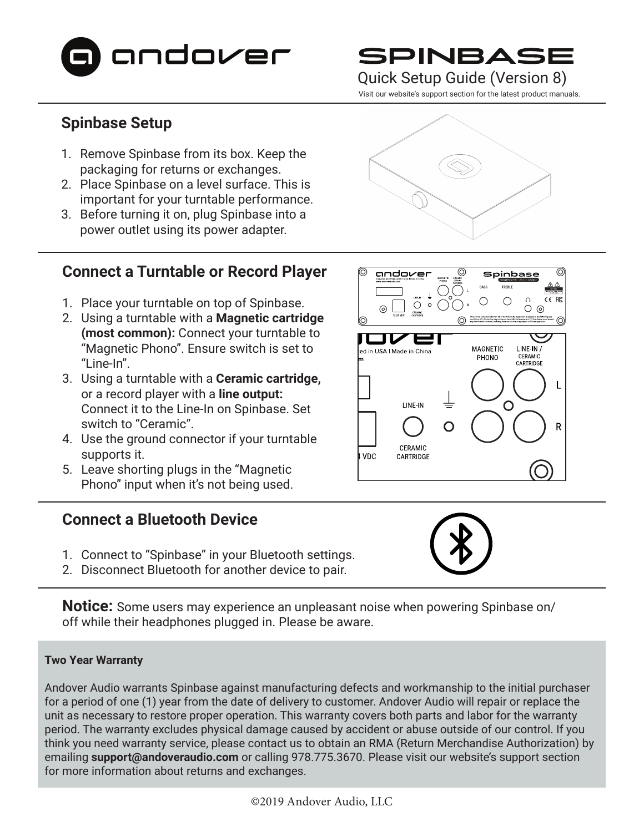

# SPINBAS

### Quick Setup Guide (Version 8)

Visit our website's support section for the latest product manuals.

# **Spinbase Setup**

- 1. Remove Spinbase from its box. Keep the packaging for returns or exchanges.
- 2. Place Spinbase on a level surface. This is important for your turntable performance.
- 3. Before turning it on, plug Spinbase into a power outlet using its power adapter.

## **Connect a Turntable or Record Player**

- 1. Place your turntable on top of Spinbase.
- 2. Using a turntable with a **Magnetic cartridge (most common):** Connect your turntable to "Magnetic Phono". Ensure switch is set to "Line-In".
- 3. Using a turntable with a **Ceramic cartridge,**  or a record player with a **line output:** Connect it to the Line-In on Spinbase. Set switch to "Ceramic".
- 4. Use the ground connector if your turntable supports it.
- 5. Leave shorting plugs in the "Magnetic Phono" input when it's not being used.

### **Connect a Bluetooth Device**

- 1. Connect to "Spinbase" in your Bluetooth settings.
- 2. Disconnect Bluetooth for another device to pair.

**Notice:** Some users may experience an unpleasant noise when powering Spinbase on/ off while their headphones plugged in. Please be aware.

### **Two Year Warranty**

Andover Audio warrants Spinbase against manufacturing defects and workmanship to the initial purchaser for a period of one (1) year from the date of delivery to customer. Andover Audio will repair or replace the unit as necessary to restore proper operation. This warranty covers both parts and labor for the warranty period. The warranty excludes physical damage caused by accident or abuse outside of our control. If you think you need warranty service, please contact us to obtain an RMA (Return Merchandise Authorization) by emailing **support@andoveraudio.com** or calling 978.775.3670. Please visit our website's support section for more information about returns and exchanges.